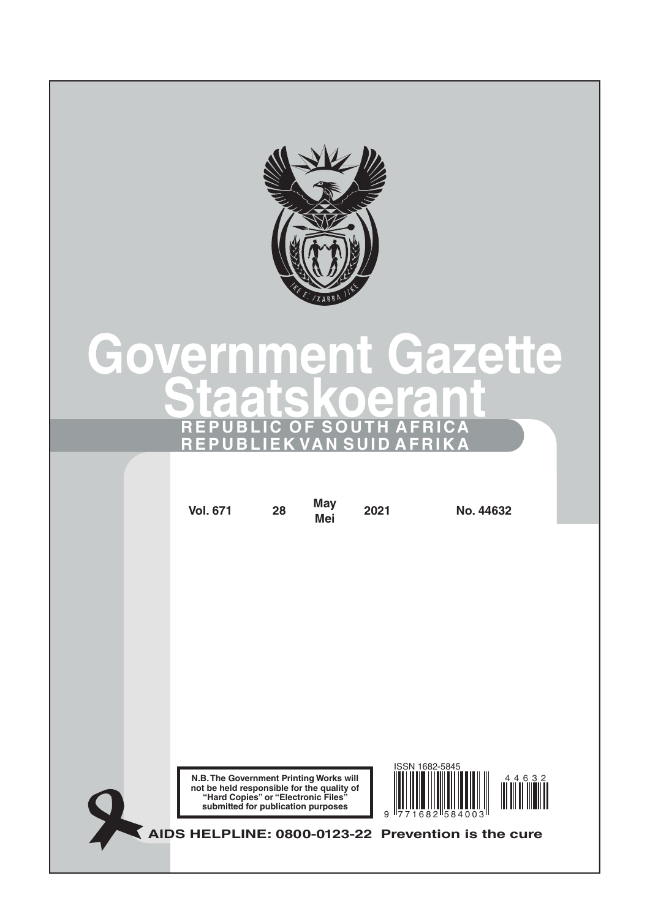

# **Government Gazette Staatskoeran REPUBLIC OF SOUTH AFRICA REPUBLIEK VAN SUID AFRIKA**

| <b>Vol. 671</b>                                                                                                              | 28                                 | <b>May</b><br><b>Mei</b> | 2021                 | No. 44632                                          |           |
|------------------------------------------------------------------------------------------------------------------------------|------------------------------------|--------------------------|----------------------|----------------------------------------------------|-----------|
|                                                                                                                              |                                    |                          |                      |                                                    |           |
|                                                                                                                              |                                    |                          |                      |                                                    |           |
|                                                                                                                              |                                    |                          |                      |                                                    |           |
|                                                                                                                              |                                    |                          |                      |                                                    |           |
|                                                                                                                              |                                    |                          |                      |                                                    |           |
|                                                                                                                              |                                    |                          |                      | ISSN 1682-5845                                     |           |
| N.B. The Government Printing Works will<br>not be held responsible for the quality of<br>"Hard Copies" or "Electronic Files" | submitted for publication purposes |                          | 9<br>II <sub>7</sub> | 682 584003                                         | 4 4 6 3 2 |
|                                                                                                                              |                                    |                          |                      | AIDS HELPLINE: 0800-0123-22 Prevention is the cure |           |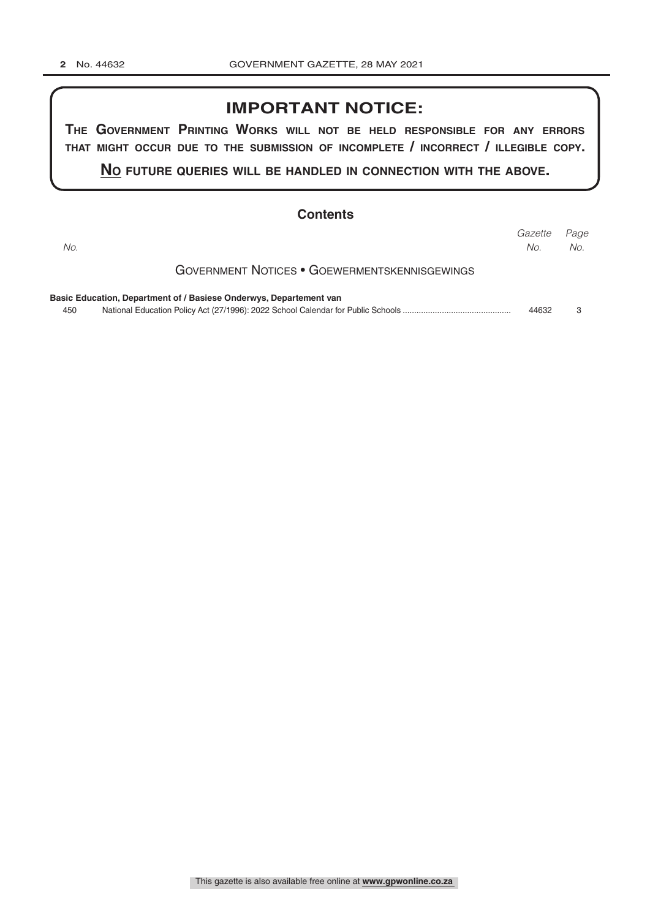#### **IMPORTANT NOTICE:**

**The GovernmenT PrinTinG Works Will noT be held resPonsible for any errors ThaT miGhT occur due To The submission of incomPleTe / incorrecT / illeGible coPy.**

**no fuTure queries Will be handled in connecTion WiTh The above.**

|     | <b>Contents</b>                                                    |                |             |
|-----|--------------------------------------------------------------------|----------------|-------------|
| No. |                                                                    | Gazette<br>No. | Page<br>No. |
|     | <b>GOVERNMENT NOTICES • GOEWERMENTSKENNISGEWINGS</b>               |                |             |
|     | Basic Education, Department of / Basiese Onderwys, Departement van |                |             |
| 450 |                                                                    | 44632          | 3           |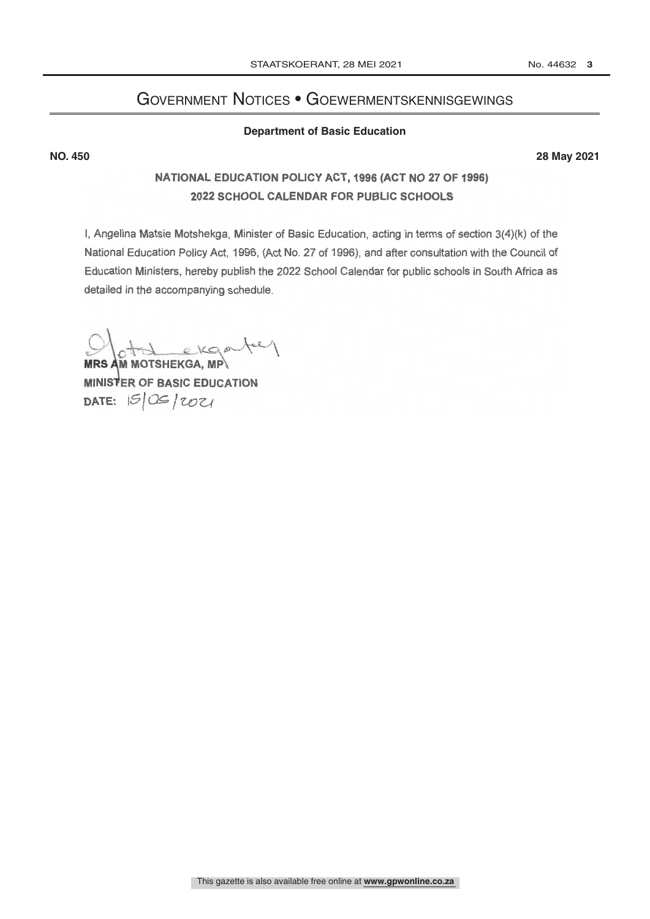## Government Notices • Goewermentskennisgewings

#### **Department of Basic Education**

<span id="page-2-0"></span>**NO. 450 28 May 2021**

#### NATIONAL EDUCATION POLICY ACT, 1996 (ACT NO 27 OF 1996) 2022 SCHOOL CALENDAR FOR PUBLIC SCHOOLS

I, Angelina Matsie Motshekga, Minister of Basic Education, acting in terms of section 3(4)(k) of the National Education Policy Act, 1996, (Act No. 27 of 1996), and after consultation with the Council of Education Ministers, hereby publish the 2022 School Calendar for public schools in South Africa as detailed in the accompanying schedule.

MRS AM MOTSHEKGA, MP\

MINISTER OF BASIC EDUCATION DATE:  $|S|\times|202|$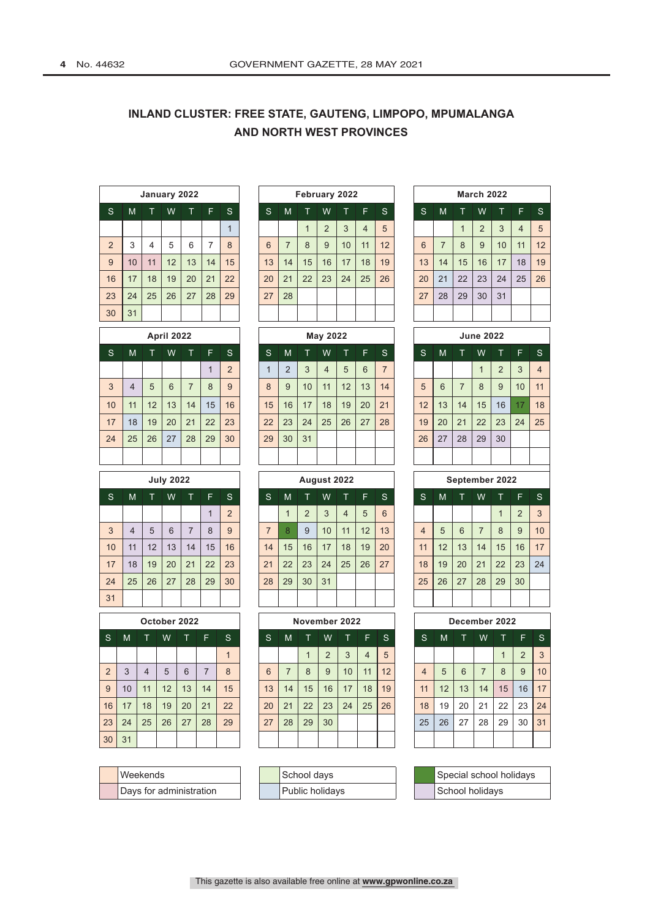#### **INLAND CLUSTER: FREE STATE, GAUTENG, LIMPOPO, MPUMALANGA AND NORTH WEST PROVINCES**

|                |    | January 2022 |    |    |    |              |    |    |              | February 2022  |    |                |    |    |    |    | <b>March 2022</b> |              |
|----------------|----|--------------|----|----|----|--------------|----|----|--------------|----------------|----|----------------|----|----|----|----|-------------------|--------------|
| 'S.            | M  |              | W  |    | F  | S.           | S  | M  | Т            | W              |    | F              | S  | S  | M  |    | W                 | T.           |
|                |    |              |    |    |    | 1            |    |    | $\mathbf{1}$ | $\overline{2}$ | 3  | $\overline{4}$ | 5  |    |    |    | $\overline{2}$    | $\mathbf{3}$ |
| $\overline{2}$ | 3  | 4            | 5  | 6  | ⇁  | $\mathsf{B}$ | 6  | 7  | 8            | 9              | 10 | 11             | 12 | 6  | 7  | 8  | 9                 | 10           |
| 9              | 10 | 11           | 12 | 13 | 14 | 15           | 13 | 14 | 15           | 16             | 17 | 18             | 19 | 13 | 14 | 15 | 16                | 17           |
| 16             | 17 | 18           | 19 | 20 | 21 | 22           | 20 | 21 | 22           | 23             | 24 | 25             | 26 | 20 | 21 | 22 | 23                | 24           |
| 23             | 24 | 25           | 26 | 27 | 28 | 29           | 27 | 28 |              |                |    |                |    | 27 | 28 | 29 | 30                | 31           |
| 30             | 31 |              |    |    |    |              |    |    |              |                |    |                |    |    |    |    |                   |              |

| <b>April 2022</b> |  |  |
|-------------------|--|--|
|-------------------|--|--|

| <sub>S</sub> | M               | $\top$ | W  | Т. | TF. | S. | <sub>S</sub> | M  | <b>AP</b> | W              | T F |    | 'S i           | S  | M  | т. | W            |    | E  | -S             |
|--------------|-----------------|--------|----|----|-----|----|--------------|----|-----------|----------------|-----|----|----------------|----|----|----|--------------|----|----|----------------|
|              |                 |        |    |    | 1   | 2  |              | 2  | 3         | $\overline{4}$ | 5   | 6  | $\overline{7}$ |    |    |    | $\mathbf{1}$ | 2  | 3  | $\overline{4}$ |
| 3            | 4               | 5      | 6  |    | 8   | 9  | 8            | 9  | 10        | 11             | 12  | 13 | 14             | 5  | 6  |    | 8            | 9  | 10 | 11             |
| 10           | 11              | 12     | 13 | 14 | 15  | 16 | 15           | 16 | 17        | 18             | 19  | 20 | 21             | 12 | 13 | 14 | 15           | 16 | 17 | 18             |
| 17           | 18              | 19     | 20 | 21 | 22  | 23 | 22           | 23 | 24        | 25             | 26  | 27 | 28             | 19 | 20 | 21 | 22           | 23 | 24 | 25             |
| 24           | 25 <sup>°</sup> | 26     | 27 | 28 | 29  | 30 | 29           | 30 | 31        |                |     |    |                | 26 | 27 | 28 | 29           | 30 |    |                |
|              |                 |        |    |    |     |    |              |    |           |                |     |    |                |    |    |    |              |    |    |                |

|     |    |    | <b>July 2022</b> |    |    |                |    |    | August 2022 |    |    |    |                 |    |    |    |                | September 2022 |          |                |
|-----|----|----|------------------|----|----|----------------|----|----|-------------|----|----|----|-----------------|----|----|----|----------------|----------------|----------|----------------|
| 'S. | M  |    | W                | т  | F  | S.             | S  | M  |             | W  | T. | F  | S.              | S  | M  |    | W              |                | F        | ∣s             |
|     |    |    |                  |    |    | $\overline{2}$ |    |    | C           | 3  | 4  | 5  | $6\phantom{1}6$ |    |    |    |                | $\overline{1}$ | $\Omega$ | $\overline{3}$ |
| 3   | 4  | 5  | 6                |    | 8  | 9              | 7  | 8  | 9           | 10 | 11 | 12 | 13              | 4  | 5  | 6  | $\overline{7}$ | 8              | 9        | 10             |
| 10  | 11 | 12 | 13               | 14 | 15 | 16             | 14 | 15 | 16          | 17 | 18 | 19 | 20              | 11 | 12 | 13 | 14             | 15             | 16       | 17             |
| 17  | 18 | 19 | 20               | 21 | 22 | 23             | 21 | 22 | 23          | 24 | 25 | 26 | 27              | 18 | 19 | 20 | 21             | 22             | 23       | 24             |
| 24  | 25 | 26 | 27               | 28 | 29 | 30             | 28 | 29 | 30          | 31 |    |    |                 | 25 | 26 | 27 | 28             | 29             | 30       |                |
| 31  |    |    |                  |    |    |                |    |    |             |    |    |    |                 |    |    |    |                |                |          |                |

|                |    |                | October 2022 |    |                |    |
|----------------|----|----------------|--------------|----|----------------|----|
| S              | M  | Ŷ              | W            | Т  | F              | S  |
|                |    |                |              |    |                | 1  |
| $\overline{2}$ | 3  | $\overline{4}$ | 5            | 6  | $\overline{7}$ | 8  |
| 9              | 10 | 11             | 12           | 13 | 14             | 15 |
| 16             | 17 | 18             | 19           | 20 | 21             | 22 |
| 23             | 24 | 25             | 26           | 27 | 28             | 29 |
| 30             | 31 |                |              |    |                |    |

| <b>Weekends</b>         |
|-------------------------|
| Days for administration |

|                |    | January 2022 |    |    |    |    | February 2022  |                |    |                |    |    |    |              | <b>March 2022</b> |    |
|----------------|----|--------------|----|----|----|----|----------------|----------------|----|----------------|----|----|----|--------------|-------------------|----|
|                | W  | T            | F  | S  | S  | M  | т.             | W              |    | F              | S. | S  | M  | T            | W                 | т. |
|                |    |              |    | 1  |    |    | $\overline{1}$ | $\overline{2}$ | 3  | $\overline{4}$ | 5  |    |    | $\mathbf{1}$ | $\overline{2}$    | 3  |
| $\overline{4}$ | 5  | 6            | 7  | 8  | 6  | 7  | 8              | 9              | 10 | 11             | 12 | 6  | 7  | 8            | 9                 | 10 |
| 11             | 12 | 13           | 14 | 15 | 13 | 14 | 15             | 16             | 17 | 18             | 19 | 13 | 14 | 15           | 16                | 17 |
| 18             | 19 | 20           | 21 | 22 | 20 | 21 | 22             | 23             | 24 | 25             | 26 | 20 | 21 | 22           | 23                | 24 |
| 25             | 26 | 27           | 28 | 29 | 27 | 28 |                |                |    |                |    | 27 | 28 | 29           | 30                | 31 |
|                |    |              |    |    |    |    |                |                |    |                |    |    |    |              |                   |    |

|    |    |    | <b>April 2022</b> |    |     |              |                         |    |    | May 2022       |    |                 |                |    |    |    | <b>June 2022</b>         |                |    |                |
|----|----|----|-------------------|----|-----|--------------|-------------------------|----|----|----------------|----|-----------------|----------------|----|----|----|--------------------------|----------------|----|----------------|
| S  | M  |    | W                 |    | 'Fı | <sub>S</sub> | 'S                      | M  | т  | W              |    | F               | <sub>S</sub>   | S  | M  |    | W                        |                | F  | ∣S             |
|    |    |    |                   |    |     | C            | $\overline{\mathbf{A}}$ | C  | 3  | $\overline{4}$ | 5  | $6\phantom{1}6$ | $\overline{7}$ |    |    |    | $\overline{\mathcal{A}}$ | $\overline{2}$ | 3  | $\overline{4}$ |
| 3  | 4  | 5  | 6                 | 7  | 8   | 9            | 8                       | 9  | 10 | 11             | 12 | 13              | 14             | 5  | 6  | 7  | 8                        | 9              | 10 | 1 <sup>1</sup> |
| 10 | 11 | 12 | 13                | 14 | 15  | 16           | 15                      | 16 | 17 | 18             | 19 | 20              | 21             | 12 | 13 | 14 | 15                       | 16             | 17 | 18             |
| 17 | 18 | 19 | 20                | 21 | 22  | 23           | 22                      | 23 | 24 | 25             | 26 | 27              | 28             | 19 | 20 | 21 | 22                       | 23             | 24 | 25             |
| 24 | 25 | 26 | 27                | 28 | 29  | 30           | 29                      | 30 | 31 |                |    |                 |                | 26 | 27 | 28 | 29                       | 30             |    |                |
|    |    |    |                   |    |     |              |                         |    |    |                |    |                 |                |    |    |    |                          |                |    |                |

|    |    |    | <b>July 2022</b> |    |    |    |    |    |                |    | August 2022 |    |    |                |    |    | September 2022 |    |               |     |
|----|----|----|------------------|----|----|----|----|----|----------------|----|-------------|----|----|----------------|----|----|----------------|----|---------------|-----|
| S  | M  |    | W                |    | F  | S  | S  | M  |                | W  |             | F  | S  | S.             | M  |    | W              |    | F             | - S |
|    |    |    |                  |    |    | C  |    |    | $\overline{2}$ | 3  | 4           | 5  | 6  |                |    |    |                |    | $\mathcal{D}$ | -3  |
| 3  | 4  | 5  | 6                | 7  | 8  | 9  |    | 8  | 9              | 10 | 11          | 12 | 13 | $\overline{4}$ | 5  | 6  | 7              | 8  | 9             | 10  |
| 10 | 11 | 12 | 13               | 14 | 15 | 16 | 14 | 15 | 16             | 17 | 18          | 19 | 20 | 11             | 12 | 13 | 14             | 15 | 16            | 17  |
| 17 | 18 | 19 | 20               | 21 | 22 | 23 | 21 | 22 | 23             | 24 | 25          | 26 | 27 | 18             | 19 | 20 | 21             | 22 | 23            | 24  |
| 24 | 25 | 26 | 27               | 28 | 29 | 30 | 28 | 29 | 30             | 31 |             |    |    | 25             | 26 | 27 | 28             | 29 | 30            |     |
| 31 |    |    |                  |    |    |    |    |    |                |    |             |    |    |                |    |    |                |    |               |     |

|              |    |    | October 2022 |    |    |     |    |    | November 2022           |                |    |                |    |    |    |    | December 2022 |    |           |  |
|--------------|----|----|--------------|----|----|-----|----|----|-------------------------|----------------|----|----------------|----|----|----|----|---------------|----|-----------|--|
| <sub>S</sub> | M  |    | W            |    | F  | 'S. | S  | М  |                         | W              |    | F              | -S | S  | M  |    | W             |    | F.<br>∣ S |  |
|              |    |    |              |    |    |     |    |    | $\overline{\mathbf{A}}$ | $\overline{2}$ | 3  | $\overline{4}$ | 5  |    |    |    |               | и  | C         |  |
| 2            | 3  | 4  | 5            | 6  |    | 8   | 6  | 7  | 8                       | 9              | 10 | 11             | 12 | 4  | 5  | 6  | 7             | 8  | 9         |  |
| 9            | 10 | 11 | 12           | 13 | 14 | 15  | 13 | 14 | 15                      | 16             | 17 | 18             | 19 | 11 | 12 | 13 | 14            | 15 | 16        |  |
| 16           | 17 | 18 | 19           | 20 | 21 | 22  | 20 | 21 | 22                      | 23             | 24 | 25             | 26 | 18 | 19 | 20 | 21            | 22 | 23        |  |
| 23           | 24 | 25 | 26           | 27 | 28 | 29  | 27 | 28 | 29                      | 30             |    |                |    | 25 | 26 | 27 | 28            | 29 | 30        |  |
| 30           | 31 |    |              |    |    |     |    |    |                         |                |    |                |    |    |    |    |               |    |           |  |

| Weekends                |  | School davs     |  | Special school holidays |
|-------------------------|--|-----------------|--|-------------------------|
| Days for administration |  | Public holidavs |  | School holidavs         |

|              |    |    |    | January 2022 |    |                |    |    |    |                | February 2022 |    |     |    |    |                         | <b>March 2022</b> |    |    |    |
|--------------|----|----|----|--------------|----|----------------|----|----|----|----------------|---------------|----|-----|----|----|-------------------------|-------------------|----|----|----|
| $\mathsf{S}$ | M  |    | W  |              | F  | 'S             | S  | M  |    | W              | т             | F  | 'S. | S  | M  | Т                       | W                 |    | F  | -S |
|              |    |    |    |              |    | $\overline{A}$ |    |    |    | $\overline{2}$ | 3             | 4  | 5   |    |    | $\overline{\mathbf{A}}$ | 2                 | 3  | 4  | 5  |
| 2            | 3  | 4  | 5  | 6            | 7  | 8              | 6  | 7  | 8  | 9              | 10            | 11 | 12  | 6  |    | 8                       | 9                 | 10 | 11 | 12 |
| 9            | 10 | 11 | 12 | 13           | 14 | 15             | 13 | 14 | 15 | 16             | 17            | 18 | 19  | 13 | 14 | 15                      | 16                | 17 | 18 | 19 |
| 16           | 17 | 18 | 19 | 20           | 21 | 22             | 20 | 21 | 22 | 23             | 24            | 25 | 26  | 20 | 21 | 22                      | 23                | 24 | 25 | 26 |
| 23           | 24 | 25 | 26 | 27           | 28 | 29             | 27 | 28 |    |                |               |    |     | 27 | 28 | 29                      | 30                | 31 |    |    |
| 30           | 31 |    |    |              |    |                |    |    |    |                |               |    |     |    |    |                         |                   |    |    |    |

|                 |                |    | <b>April 2022</b> |                |    |                |                |                |                | <b>May 2022</b> |                |                |                |                |    |                | <b>June 2022</b> |                |    |                 |
|-----------------|----------------|----|-------------------|----------------|----|----------------|----------------|----------------|----------------|-----------------|----------------|----------------|----------------|----------------|----|----------------|------------------|----------------|----|-----------------|
| Ś               | M              | т  | W                 | т              | F  | S              | S              | M              | т              | W               | T              | F              | <sub>S</sub>   | S              | M  | т              | W                | $\top$         | F  | S               |
|                 |                |    |                   |                | 1  | $\overline{2}$ | 1              | $\overline{2}$ | 3              | 4               | 5              | 6              | $\overline{7}$ |                |    |                | $\mathbf{1}$     | $\overline{2}$ | 3  | $\overline{4}$  |
| 3               | 4              | 5  | 6                 | 7              | 8  | 9              | 8              | 9              | 10             | 11              | 12             | 13             | 14             | 5              | 6  | $\overline{7}$ | 8                | 9              | 10 | 11              |
| $\overline{10}$ | 11             | 12 | 13                | 14             | 15 | 16             | 15             | 16             | 17             | 18              | 19             | 20             | 21             | 12             | 13 | 14             | 15               | 16             | 17 | 18              |
| $\overline{7}$  | 18             | 19 | 20                | 21             | 22 | 23             | 22             | 23             | 24             | 25              | 26             | 27             | 28             | 19             | 20 | 21             | 22               | 23             | 24 | 25              |
| $\frac{24}{3}$  | 25             | 26 | 27                | 28             | 29 | 30             | 29             | 30             | 31             |                 |                |                |                | 26             | 27 | 28             | 29               | 30             |    |                 |
|                 |                |    |                   |                |    |                |                |                |                |                 |                |                |                |                |    |                |                  |                |    |                 |
|                 |                |    | <b>July 2022</b>  |                |    |                |                |                |                |                 | August 2022    |                |                |                |    |                | September 2022   |                |    |                 |
| S               | M              | т  | W                 | т              | F  | S              | <sub>S</sub>   | M              | т              | W               | Τ              | F              | <sub>S</sub>   | S              | M  | т              | W                | $\top$         | F  | <sub>S</sub>    |
|                 |                |    |                   |                | 1  | $\overline{2}$ |                | $\mathbf{1}$   | $\overline{2}$ | 3               | $\overline{4}$ | $\overline{5}$ | 6              |                |    |                |                  | $\mathbf{1}$   | 2  | 3               |
| 3               | $\overline{4}$ | 5  | 6                 | $\overline{7}$ | 8  | $\mathbf{q}$   | $\overline{7}$ | 8              | 9              | 10              | 11             | 12             | 13             | $\overline{4}$ | 5  | 6              | 7                | $\mathsf{B}$   | 9  | 10 <sup>1</sup> |
|                 |                |    |                   |                |    |                |                |                |                |                 |                |                |                |                |    |                |                  |                |    |                 |

| 4  | 5 | 6              |                | 8                           | 9  | 10 |
|----|---|----------------|----------------|-----------------------------|----|----|
| 11 |   | $12$   13   14 |                | 15 16                       |    | 17 |
| 18 |   |                |                | 19   20   21   22   23   24 |    |    |
| 25 |   |                | $26$   27   28 | 29                          | 30 |    |
|    |   |                |                |                             |    |    |

| December 2022  |    |    |                |    |                |    |  |  |  |  |  |  |  |  |
|----------------|----|----|----------------|----|----------------|----|--|--|--|--|--|--|--|--|
| S              | M  |    | W              | т  | F              | S  |  |  |  |  |  |  |  |  |
|                |    |    |                |    | $\overline{2}$ | 3  |  |  |  |  |  |  |  |  |
| $\overline{4}$ | 5  | 6  | $\overline{7}$ | 8  | 9              | 10 |  |  |  |  |  |  |  |  |
| 11             | 12 | 13 | 14             | 15 | 16             | 17 |  |  |  |  |  |  |  |  |
| 18             | 19 | 20 | 21             | 22 | 23             | 24 |  |  |  |  |  |  |  |  |
| 25             | 26 | 27 | 28             | 29 | 30             | 31 |  |  |  |  |  |  |  |  |
|                |    |    |                |    |                |    |  |  |  |  |  |  |  |  |

| Special school holidays |
|-------------------------|
| School holidays         |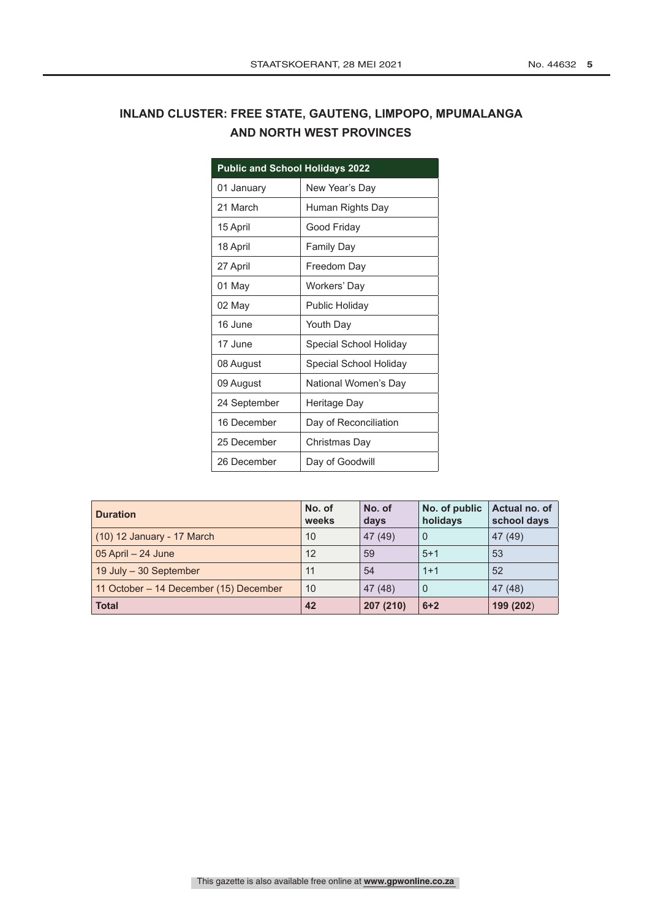#### **INLAND CLUSTER: FREE STATE, GAUTENG, LIMPOPO, MPUMALANGA AND NORTH WEST PROVINCES**

| <b>Public and School Holidays 2022</b> |                        |
|----------------------------------------|------------------------|
| 01 January                             | New Year's Day         |
| 21 March                               | Human Rights Day       |
| 15 April                               | Good Friday            |
| 18 April                               | Family Day             |
| 27 April                               | Freedom Day            |
| 01 May                                 | Workers' Day           |
| 02 May                                 | Public Holiday         |
| 16 June                                | Youth Day              |
| 17 June                                | Special School Holiday |
| 08 August                              | Special School Holiday |
| 09 August                              | National Women's Day   |
| 24 September                           | Heritage Day           |
| 16 December                            | Day of Reconciliation  |
| 25 December                            | Christmas Day          |
| 26 December                            | Day of Goodwill        |

| <b>Duration</b>                        | No. of<br>weeks | No. of<br>days | No. of public<br>holidays | Actual no. of<br>school days |
|----------------------------------------|-----------------|----------------|---------------------------|------------------------------|
| (10) 12 January - 17 March             | 10              | 47 (49)        | $\Omega$                  | 47(49)                       |
| $05$ April $-24$ June                  | 12              | 59             | $5+1$                     | 53                           |
| 19 July - 30 September                 | 11              | 54             | $1+1$                     | 52                           |
| 11 October - 14 December (15) December | 10              | 47(48)         | 0                         | 47(48)                       |
| <b>Total</b>                           | 42              | 207 (210)      | $6 + 2$                   | 199 (202)                    |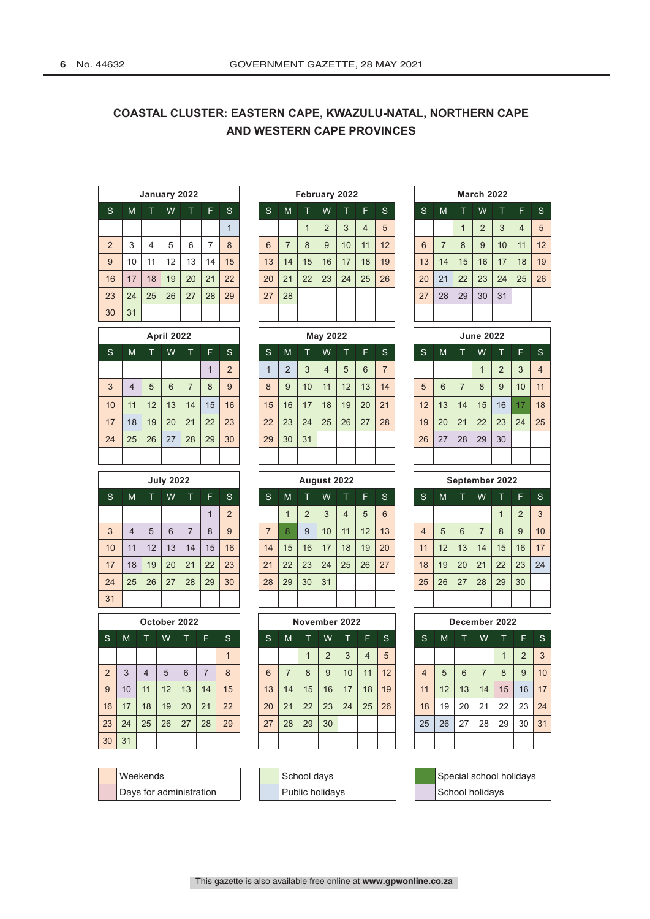#### **COASTAL CLUSTER: EASTERN CAPE, KWAZULU-NATAL, NORTHERN CAPE AND WESTERN CAPE PROVINCES**

|                | January 2022 |    |    |    |    |    |  |    |                |             |                | February 2022 |    |              |    |    |    | <b>March 2022</b> |              |
|----------------|--------------|----|----|----|----|----|--|----|----------------|-------------|----------------|---------------|----|--------------|----|----|----|-------------------|--------------|
| S              | M            |    | W  |    | F  | S. |  | S  | M              | T           | W              | т             | F  | <sub>S</sub> | S  | M  |    | W                 | T.           |
|                |              |    |    |    |    | 1  |  |    |                | $\mathbf 1$ | $\overline{2}$ | 3             | 4  | 5            |    |    |    | $\overline{2}$    | $\mathbf{3}$ |
| $\overline{2}$ | 3            | 4  | 5  | 6  | ⇁  | 8  |  | 6  | $\overline{ }$ | 8           | 9              | 10            | 11 | 12           | 6  | 7  | 8  | 9                 | 10           |
| 9              | 10           | 11 | 12 | 13 | 14 | 15 |  | 13 | 14             | 15          | 16             | 17            | 18 | 19           | 13 | 14 | 15 | 16                | 17           |
| 16             | 17           | 18 | 19 | 20 | 21 | 22 |  | 20 | 21             | 22          | 23             | 24            | 25 | 26           | 20 | 21 | 22 | 23                | 24           |
| 23             | 24           | 25 | 26 | 27 | 28 | 29 |  | 27 | 28             |             |                |               |    |              | 27 | 28 | 29 | 30                | 31           |
| 30             | 31           |    |    |    |    |    |  |    |                |             |                |               |    |              |    |    |    |                   |              |

|    | <b>April 2022</b> |    |    |    |    |                |    |                |    | May 2022 |                 |    |                |    |    |    | <b>June 2022</b>        |    |
|----|-------------------|----|----|----|----|----------------|----|----------------|----|----------|-----------------|----|----------------|----|----|----|-------------------------|----|
| S. | M                 |    | W  |    | F  | S.             | S  | M              |    | W        |                 | F  | <sub>S</sub>   | S  | M  |    | W                       |    |
|    |                   |    |    |    | 1  | $\overline{2}$ |    | $\overline{2}$ | 3  | 4        | 5               | 6  | $\overline{7}$ |    |    |    | $\overline{\mathbf{A}}$ | 2  |
| 3  | 4                 | 5  | 6  | 7  | 8  | 9              | 8  | 9              | 10 | 11       | 12 <sup>2</sup> | 13 | 14             | 5  | 6  | 7  | 8                       | 9  |
| 10 | 11                | 12 | 13 | 14 | 15 | 16             | 15 | 16             | 17 | 18       | 19              | 20 | 21             | 12 | 13 | 14 | 15                      | 16 |
| 17 | 18                | 19 | 20 | 21 | 22 | 23             | 22 | 23             | 24 | 25       | 26              | 27 | 28             | 19 | 20 | 21 | 22                      | 23 |
| 24 | 25                | 26 | 27 | 28 | 29 | 30             | 29 | 30             | 31 |          |                 |    |                | 26 | 27 | 28 | 29                      | 30 |
|    |                   |    |    |    |    |                |    |                |    |          |                 |    |                |    |    |    |                         |    |

|     | <b>July 2022</b> |    |    |    |    |                |  |    |    |                | August 2022 |    |    |     |                |    |    |                | September 2022 |                |     |
|-----|------------------|----|----|----|----|----------------|--|----|----|----------------|-------------|----|----|-----|----------------|----|----|----------------|----------------|----------------|-----|
| 'S. | M                |    | W  |    | F. | S.             |  | S  | M  |                | W           |    | F  | 'S. | S              | M  |    | W              |                | F              | - S |
|     |                  |    |    |    |    | $\overline{2}$ |  |    |    | $\overline{2}$ | 3           | 4  | 5  | 6   |                |    |    |                | ◢              | $\overline{2}$ | 3   |
| 3   | 4                | 5  | 6  | 7  | 8  | 9              |  | 7  | 8  | 9              | 10          | 11 | 12 | 13  | $\overline{4}$ | 5  | 6  | $\overline{7}$ | 8              | 9              | 10  |
| 10  | 11               | 12 | 13 | 14 | 15 | 16             |  | 14 | 15 | 16             | 17          | 18 | 19 | 20  | 11             | 12 | 13 | 14             | 15             | 16             | 17  |
| 17  | 18               | 19 | 20 | 21 | 22 | 23             |  | 21 | 22 | 23             | 24          | 25 | 26 | 27  | 18             | 19 | 20 | 21             | 22             | 23             | 24  |
| 24  | 25               | 26 | 27 | 28 | 29 | 30             |  | 28 | 29 | 30             | 31          |    |    |     | 25             | 26 | 27 | 28             | 29             | 30             |     |
| 31  |                  |    |    |    |    |                |  |    |    |                |             |    |    |     |                |    |    |                |                |                |     |

| October 2022   |    |                |    |    |                |    |  |  |  |  |  |  |  |  |
|----------------|----|----------------|----|----|----------------|----|--|--|--|--|--|--|--|--|
| S              | M  | Τ              | W  | т  | F              | S  |  |  |  |  |  |  |  |  |
|                |    |                |    |    |                | 1  |  |  |  |  |  |  |  |  |
| $\overline{2}$ | 3  | $\overline{4}$ | 5  | 6  | $\overline{7}$ | 8  |  |  |  |  |  |  |  |  |
| $\overline{9}$ | 10 | 11             | 12 | 13 | 14             | 15 |  |  |  |  |  |  |  |  |
| 16             | 17 | 18             | 19 | 20 | 21             | 22 |  |  |  |  |  |  |  |  |
| 23             | 24 | 25             | 26 | 27 | 28             | 29 |  |  |  |  |  |  |  |  |
| 30             | 31 |                |    |    |                |    |  |  |  |  |  |  |  |  |

| <b>Weekends</b>         |
|-------------------------|
| Days for administration |

| February 2022   |                |    |                |    |                |    |  |  |  |  |  |  |  |
|-----------------|----------------|----|----------------|----|----------------|----|--|--|--|--|--|--|--|
| $\mathsf{S}$    | M              | т  | W              | т  | F              | S  |  |  |  |  |  |  |  |
|                 |                | 1  | $\overline{2}$ | 3  | $\overline{4}$ | 5  |  |  |  |  |  |  |  |
| $6\phantom{1}6$ | $\overline{7}$ | 8  | 9              | 10 | 11             | 12 |  |  |  |  |  |  |  |
| 13              | 14             | 15 | 16             | 17 | 18             | 19 |  |  |  |  |  |  |  |
| 20              | 21             | 22 | 23             | 24 | 25             | 26 |  |  |  |  |  |  |  |
| 27              | 28             |    |                |    |                |    |  |  |  |  |  |  |  |
|                 |                |    |                |    |                |    |  |  |  |  |  |  |  |

| April 2022 |    |    |                  |                |    |                |    | May 2022       |    | <b>June 2022</b> |                |    |    |    |                |                |
|------------|----|----|------------------|----------------|----|----------------|----|----------------|----|------------------|----------------|----|----|----|----------------|----------------|
| T          | W  |    | F                | S              | S  | M              |    | W              |    | F                | S.             | 'S | M  | т  | W              | Т              |
|            |    |    | $\boldsymbol{A}$ | $\overline{2}$ | 1  | $\overline{2}$ | 3  | $\overline{4}$ | 5  | 6                | $\overline{7}$ |    |    |    | $\overline{1}$ | $\overline{2}$ |
| 5          | 6  | 7  | 8                | 9              | 8  | 9              | 10 | 11             | 12 | 13               | 14             | 5  | 6  | 7  | 8              | 9              |
| 12         | 13 | 14 | 15               | 16             | 15 | 16             | 17 | 18             | 19 | 20               | 21             | 12 | 13 | 14 | 15             | 16             |
| 19         | 20 | 21 | 22               | 23             | 22 | 23             | 24 | 25             | 26 | 27               | 28             | 19 | 20 | 21 | 22             | 23             |
| 26         | 27 | 28 | 29               | 30             | 29 | 30             | 31 |                |    |                  |                | 26 | 27 | 28 | 29             | 3 <sub>0</sub> |
|            |    |    |                  |                |    |                |    |                |    |                  |                |    |    |    |                |                |

| <b>July 2022</b> |    |    |    |                |                 |               |    |    | August 2022    |    |    |    |    |    |    | September 2022 |                |    |          |                |
|------------------|----|----|----|----------------|-----------------|---------------|----|----|----------------|----|----|----|----|----|----|----------------|----------------|----|----------|----------------|
| S                | M  |    | W  |                | F               | 'S.           | S  | M  |                | W  |    | F  | S. | S  | M  |                | W              |    | F        | ∣ S            |
|                  |    |    |    |                |                 | $\Omega$<br>∠ |    |    | $\overline{2}$ | 3  | 4  | 5  | 6  |    |    |                |                |    | $\Omega$ | 3              |
| 3                | 4  | 5  | 6  | $\overline{ }$ | 8               | 9             | 7  | 8  | 9              | 10 | 11 | 12 | 13 | 4  | 5  | 6              | $\overline{7}$ | 8  | 9        | 1 <sup>1</sup> |
| 10 <sup>1</sup>  | 11 | 12 | 13 | 14             | 15 <sup>°</sup> | 16            | 14 | 15 | 16             | 17 | 18 | 19 | 20 | 11 | 12 | 13             | 14             | 15 | 16       | 17             |
| 17               | 18 | 19 | 20 | 21             | 22              | 23            | 21 | 22 | 23             | 24 | 25 | 26 | 27 | 18 | 19 | 20             | 21             | 22 | 23       | 24             |
| 24               | 25 | 26 | 27 | 28             | 29              | 30            | 28 | 29 | 30             | 31 |    |    |    | 25 | 26 | 27             | 28             | 29 | 30       |                |
| 31               |    |    |    |                |                 |               |    |    |                |    |    |    |    |    |    |                |                |    |          |                |

| October 2022 |    |    |    |    |    |    | November 2022 |    |    |    |    |    |    |  |                |    |    | December 2022  |                  |    |           |
|--------------|----|----|----|----|----|----|---------------|----|----|----|----|----|----|--|----------------|----|----|----------------|------------------|----|-----------|
| S            | M  |    | W  |    | F  | S  | S             | M  |    | W  |    | F  | -S |  | S              | M  |    | W              |                  | F  | ∣s        |
|              |    |    |    |    |    |    |               |    | ◢  | C  | 3  | 4  | 5  |  |                |    |    |                | $\boldsymbol{A}$ | C  | $\cdot$ 3 |
| 2            | 3  | 4  | 5  | 6  |    | 8  | 6             | ⇁  | 8  | 9  | 10 | 11 | 12 |  | $\overline{4}$ | 5  | 6  | $\overline{7}$ | 8                | 9  | 10        |
| 9            | 10 | 11 | 12 | 13 | 14 | 15 | 13            | 14 | 15 | 16 | 17 | 18 | 19 |  | 11             | 12 | 13 | 14             | 15               | 16 | 17        |
| 16           | 17 | 18 | 19 | 20 | 21 | 22 | 20            | 21 | 22 | 23 | 24 | 25 | 26 |  | 18             | 19 | 20 | 21             | 22               | 23 | 24        |
| 23           | 24 | 25 | 26 | 27 | 28 | 29 | 27            | 28 | 29 | 30 |    |    |    |  | 25             | 26 | 27 | 28             | 29               | 30 | 31        |
| 30           | 31 |    |    |    |    |    |               |    |    |    |    |    |    |  |                |    |    |                |                  |    |           |

| Weekends                |  | School days     |  | Special school holidays |
|-------------------------|--|-----------------|--|-------------------------|
| Davs for administration |  | Public holidavs |  | ∜School holidavs        |

| S              | M              | Т                  | W                 | т              | F              | $\mathsf{S}$   | S               | M              | T                                                                                                                                                                                                                              | W              | Т              | F               | S              |  | S              | M              | T.             | W                      | т              | F              | S              |
|----------------|----------------|--------------------|-------------------|----------------|----------------|----------------|-----------------|----------------|--------------------------------------------------------------------------------------------------------------------------------------------------------------------------------------------------------------------------------|----------------|----------------|-----------------|----------------|--|----------------|----------------|----------------|------------------------|----------------|----------------|----------------|
|                |                |                    |                   |                |                | $\mathbf{1}$   |                 |                | $\mathbf{1}$                                                                                                                                                                                                                   | $\overline{2}$ | 3              | $\overline{4}$  | 5              |  |                |                | $\mathbf{1}$   | $\overline{2}$         | 3              | $\overline{4}$ | 5              |
| $\overline{2}$ | 3              | 4                  | 5                 | 6              | $\overline{7}$ | 8              | $6\phantom{1}6$ | $\overline{7}$ | 8                                                                                                                                                                                                                              | 9              | 10             | 11              | 12             |  | 6              | $\overline{7}$ | 8              | 9                      | 10             | 11             | 12             |
| 9              | 10             | 11                 | 12                | 13             | 14             | 15             | 13              | 14             | 15                                                                                                                                                                                                                             | 16             | 17             | 18              | 19             |  | 13             | 14             | 15             | 16                     | 17             | 18             | 19             |
| 16             | 17             | 18                 | 19                | 20             | 21             | 22             | 20              | 21             | 22                                                                                                                                                                                                                             | 23             | 24             | 25              | 26             |  | 20             | 21             | 22             | 23                     | 24             | 25             | 26             |
| 23             | 24             | 25                 | 26                | 27             | 28             | 29             | 27              | 28             |                                                                                                                                                                                                                                |                |                |                 |                |  | 27             | 28             | 29             | 30                     | 31             |                |                |
| 30             | 31             |                    |                   |                |                |                |                 |                |                                                                                                                                                                                                                                |                |                |                 |                |  |                |                |                |                        |                |                |                |
|                |                |                    | <b>April 2022</b> |                |                |                | <b>May 2022</b> |                |                                                                                                                                                                                                                                |                |                |                 |                |  |                |                |                | <b>June 2022</b>       |                |                |                |
| <sub>S</sub>   | M              | т                  | W                 | т              | F              | <sub>S</sub>   | S               | M              | т                                                                                                                                                                                                                              | W              | Τ              | F               | S              |  | S              | M              | т              | W                      | Т              | F              | S              |
|                |                |                    |                   |                | $\mathbf{1}$   | 2              | $\mathbf{1}$    | $\overline{2}$ | 3                                                                                                                                                                                                                              | $\overline{4}$ | 5              | $6\phantom{1}6$ | $\overline{7}$ |  |                |                |                | $\mathbf{1}$           | $\overline{2}$ | 3              | $\overline{4}$ |
| 3              | $\overline{4}$ | 5                  | $6\phantom{1}$    | $\overline{7}$ | 8              | 9              | 8               | 9              | 10                                                                                                                                                                                                                             | 11             | 12             | 13              | 14             |  | 5              | 6              | $\overline{7}$ | 8                      | 9              | 10             | 11             |
| 10             | 11             | 12                 | 13                | 14             | 15             | 16             | 15              | 16             | 17                                                                                                                                                                                                                             | 18             | 19             | 20              | 21             |  | 12             | 13             | 14             | 15                     | 16             | 17             | 18             |
| 17             | 18             | 19                 | 20                | 21             | 22             | 23             | 22              | 23             | 24                                                                                                                                                                                                                             | 25             | 26             | 27              | 28             |  | 19             | 20             | 21             | 22                     | 23             | 24             | 25             |
| 24             | 25             | 26                 | 27                | 28             | 29             | 30             | 29              | 30             | 31                                                                                                                                                                                                                             |                |                |                 |                |  | 26             | 27             | 28             | 29                     | 30             |                |                |
|                |                |                    |                   |                |                |                |                 |                |                                                                                                                                                                                                                                |                |                |                 |                |  |                |                |                |                        |                |                |                |
|                |                |                    | <b>July 2022</b>  |                |                |                |                 |                | August 2022                                                                                                                                                                                                                    |                |                |                 |                |  |                |                |                | September 2022         |                |                |                |
| <sub>S</sub>   | M              | T                  | W                 | T              | F              | $\mathsf{S}$   | $\mathsf{S}$    | M              | T                                                                                                                                                                                                                              | W              | T              | F               | $\mathbf S$    |  | $\mathbf S$    | M              | T              | W                      | T              | F              | S              |
|                |                |                    |                   |                | $\mathbf{1}$   | $\overline{2}$ |                 | $\mathbf{1}$   | $\overline{2}$                                                                                                                                                                                                                 | 3              | $\overline{4}$ | 5               | 6              |  |                |                |                |                        | $\mathbf{1}$   | $\overline{2}$ | 3              |
| $\overline{3}$ | $\overline{4}$ | 5                  | $6\phantom{1}$    | $\overline{7}$ | 8              | 9              | $\overline{7}$  | 8              | 9                                                                                                                                                                                                                              | 10             | 11             | 12              | 13             |  | $\overline{4}$ | 5              | $6\phantom{1}$ | $\overline{7}$         | 8              | 9              | 10             |
| 10             | 11             | 12                 | 13                | 14             | 15             | 16             | 14              | 15             | 16                                                                                                                                                                                                                             | 17             | 18             | 19              | 20             |  | 11             | 12             | 13             | 14                     | 15             | 16             | 17             |
| 17             | 18             | 19                 | 20                | 21             | 22             | 23             | 21              | 22             | 23                                                                                                                                                                                                                             | 24             | 25             | 26              | 27             |  | 18             | 19             | 20             | 21                     | 22             | 23             | 24             |
| 24             | 25             | 26                 | 27                | 28             | 29             | 30             | 28              | 29             | 30                                                                                                                                                                                                                             | 31             |                |                 |                |  | 25             | 26             | 27             | 28                     | 29             | 30             |                |
| 31             |                |                    |                   |                |                |                |                 |                |                                                                                                                                                                                                                                |                |                |                 |                |  |                |                |                |                        |                |                |                |
|                |                | $O_{\text{right}}$ |                   |                |                |                |                 |                | Note that the second part of the second second the second second second second second second second second second second second second second second second second second second second second second second second second sec |                |                |                 |                |  |                |                |                | <b>Beschichen</b> 0000 |                |                |                |

|                | December 2022 |    |                |    |                |    |  |  |  |  |  |  |  |  |
|----------------|---------------|----|----------------|----|----------------|----|--|--|--|--|--|--|--|--|
| S              | M             | т  | W              | ίī | F              | S  |  |  |  |  |  |  |  |  |
|                |               |    |                |    | $\overline{2}$ | 3  |  |  |  |  |  |  |  |  |
| $\overline{4}$ | 5             | 6  | $\overline{7}$ | 8  | 9              | 10 |  |  |  |  |  |  |  |  |
| 11             | 12            | 13 | 14             | 15 | 16             | 17 |  |  |  |  |  |  |  |  |
| 18             | 19            | 20 | 21             | 22 | 23             | 24 |  |  |  |  |  |  |  |  |
| 25             | 26            | 27 | 28             | 29 | 30             | 31 |  |  |  |  |  |  |  |  |
|                |               |    |                |    |                |    |  |  |  |  |  |  |  |  |

| Special school holidays |
|-------------------------|
| School holidays         |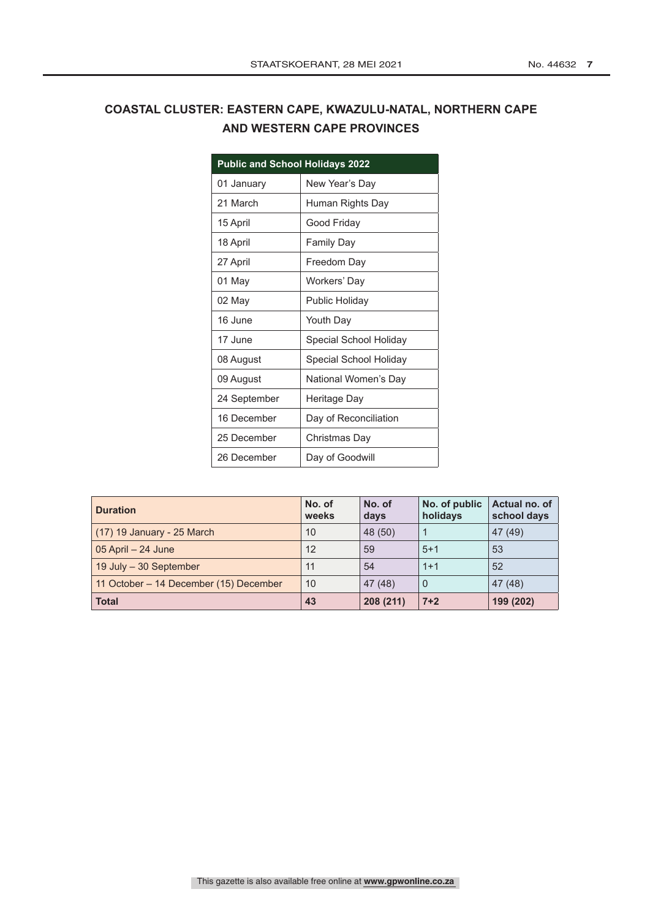### **COASTAL CLUSTER: EASTERN CAPE, KWAZULU-NATAL, NORTHERN CAPE AND WESTERN CAPE PROVINCES**

| <b>Public and School Holidays 2022</b> |                        |  |  |  |  |  |  |  |  |
|----------------------------------------|------------------------|--|--|--|--|--|--|--|--|
| 01 January                             | New Year's Day         |  |  |  |  |  |  |  |  |
| 21 March                               | Human Rights Day       |  |  |  |  |  |  |  |  |
| 15 April                               | Good Friday            |  |  |  |  |  |  |  |  |
| 18 April                               | <b>Family Day</b>      |  |  |  |  |  |  |  |  |
| 27 April                               | Freedom Day            |  |  |  |  |  |  |  |  |
| 01 May                                 | Workers' Day           |  |  |  |  |  |  |  |  |
| 02 May                                 | Public Holiday         |  |  |  |  |  |  |  |  |
| 16 June                                | Youth Day              |  |  |  |  |  |  |  |  |
| 17 June                                | Special School Holiday |  |  |  |  |  |  |  |  |
| 08 August                              | Special School Holiday |  |  |  |  |  |  |  |  |
| 09 August                              | National Women's Day   |  |  |  |  |  |  |  |  |
| 24 September                           | Heritage Day           |  |  |  |  |  |  |  |  |
| 16 December                            | Day of Reconciliation  |  |  |  |  |  |  |  |  |
| 25 December                            | Christmas Day          |  |  |  |  |  |  |  |  |
| 26 December                            | Day of Goodwill        |  |  |  |  |  |  |  |  |

| <b>Duration</b>                        | No. of<br>weeks | No. of<br>days | No. of public<br>holidays | Actual no. of<br>school days |
|----------------------------------------|-----------------|----------------|---------------------------|------------------------------|
| (17) 19 January - 25 March             | 10              | 48 (50)        |                           | 47 (49)                      |
| $05$ April $-24$ June                  | 12              | 59             | $5+1$                     | 53                           |
| 19 July - 30 September                 | 11              | 54             | $1+1$                     | 52                           |
| 11 October – 14 December (15) December | 10              | 47 (48)        | 0                         | 47 (48)                      |
| <b>Total</b>                           | 43              | 208 (211)      | $7 + 2$                   | 199 (202)                    |